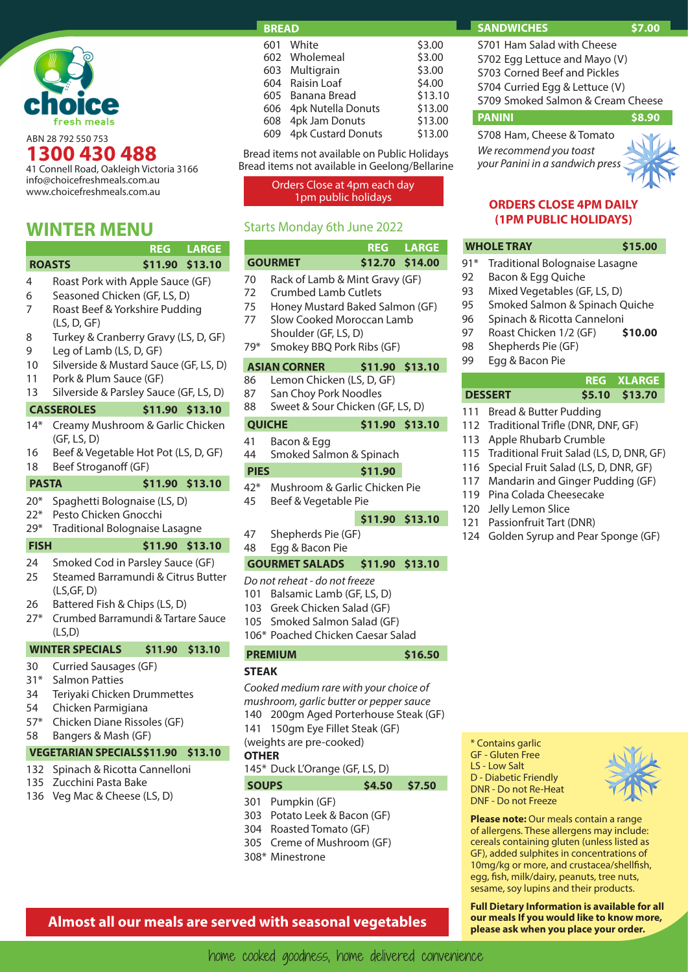

ABN 28 792 550 753 **1300 430 488**

41 Connell Road, Oakleigh Victoria 3166 info@choicefreshmeals.com.au www.choicefreshmeals.com.au

## **WINTER MENU**

|                                        |                                                                                                                                                                        |                 | <b>REG LARGE</b> |  |  |
|----------------------------------------|------------------------------------------------------------------------------------------------------------------------------------------------------------------------|-----------------|------------------|--|--|
| <b>ROASTS</b>                          |                                                                                                                                                                        | \$11.90 \$13.10 |                  |  |  |
| 4<br>6<br>7                            | Roast Pork with Apple Sauce (GF)<br>Seasoned Chicken (GF, LS, D)<br>Roast Beef & Yorkshire Pudding<br>(LS, D, GF)                                                      |                 |                  |  |  |
| 8<br>9                                 | Turkey & Cranberry Gravy (LS, D, GF)<br>Leg of Lamb (LS, D, GF)                                                                                                        |                 |                  |  |  |
| 10<br>11<br>13                         | Silverside & Mustard Sauce (GF, LS, D)<br>Pork & Plum Sauce (GF)<br>Silverside & Parsley Sauce (GF, LS, D)                                                             |                 |                  |  |  |
|                                        | <b>CASSEROLES</b>                                                                                                                                                      | \$11.90 \$13.10 |                  |  |  |
| $14*$<br>16<br>18                      | Creamy Mushroom & Garlic Chicken<br>(GF, LS, D)<br>Beef & Vegetable Hot Pot (LS, D, GF)<br>Beef Stroganoff (GF)                                                        |                 |                  |  |  |
| <b>PASTA</b>                           |                                                                                                                                                                        | \$11.90 \$13.10 |                  |  |  |
| $20*$<br>$22*$<br>$29*$                | Spaghetti Bolognaise (LS, D)<br>Pesto Chicken Gnocchi<br><b>Traditional Bolognaise Lasagne</b>                                                                         |                 |                  |  |  |
| <b>FISH</b>                            |                                                                                                                                                                        | \$11.90         | \$13.10          |  |  |
| 24<br>25<br>26<br>$27*$                | Smoked Cod in Parsley Sauce (GF)<br>Steamed Barramundi & Citrus Butter<br>(LS, GF, D)<br>Battered Fish & Chips (LS, D)<br>Crumbed Barramundi & Tartare Sauce<br>(LS,D) |                 |                  |  |  |
|                                        | <b>WINTER SPECIALS</b>                                                                                                                                                 | \$11.90         | \$13.10          |  |  |
| 30<br>$31*$<br>34<br>54<br>$57*$<br>58 | <b>Curried Sausages (GF)</b><br><b>Salmon Patties</b><br>Teriyaki Chicken Drummettes<br>Chicken Parmigiana<br>Chicken Diane Rissoles (GF)<br>Bangers & Mash (GF)       |                 |                  |  |  |
|                                        | <b>VEGETARIAN SPECIALS \$11.90</b>                                                                                                                                     |                 | \$13.10          |  |  |
| 132<br>135<br>136                      | Spinach & Ricotta Cannelloni<br>Zucchini Pasta Bake<br>Veg Mac & Cheese (LS, D)                                                                                        |                 |                  |  |  |

#### **BREAD**

|     | 601 White              | \$3.00  |
|-----|------------------------|---------|
|     | 602 Wholemeal          | \$3.00  |
|     | 603 Multigrain         | \$3.00  |
|     | 604 Raisin Loaf        | \$4.00  |
|     | 605 Banana Bread       | \$13.10 |
| 606 | 4pk Nutella Donuts     | \$13.00 |
|     | 608 4pk Jam Donuts     | \$13.00 |
|     | 609 4pk Custard Donuts | \$13.00 |
|     |                        |         |

Bread items not available on Public Holidays Bread items not available in Geelong/Bellarine

Orders Close at 4pm each day

### Starts Monday 6th June 2022

|     |                                  |                      | <b>REG LARGE</b> |  |  |  |
|-----|----------------------------------|----------------------|------------------|--|--|--|
|     | <b>GOURMET</b>                   |                      | \$12.70 \$14.00  |  |  |  |
| 70  | Rack of Lamb & Mint Gravy (GF)   |                      |                  |  |  |  |
| 72  |                                  | Crumbed Lamb Cutlets |                  |  |  |  |
| 75  | Honey Mustard Baked Salmon (GF)  |                      |                  |  |  |  |
| 77  | Slow Cooked Moroccan Lamb        |                      |                  |  |  |  |
|     | Shoulder (GF, LS, D)             |                      |                  |  |  |  |
| 79* | Smokey BBQ Pork Ribs (GF)        |                      |                  |  |  |  |
|     | ASIAN CORNER                     | \$11.90 \$13.10      |                  |  |  |  |
| 86  | Lemon Chicken (LS, D, GF)        |                      |                  |  |  |  |
| 87  | San Choy Pork Noodles            |                      |                  |  |  |  |
| 88  | Sweet & Sour Chicken (GF, LS, D) |                      |                  |  |  |  |
|     | <b>QUICHE</b>                    |                      | \$11.90 \$13.10  |  |  |  |
| 41  | Bacon & Egg                      |                      |                  |  |  |  |
| 44  | Smoked Salmon & Spinach          |                      |                  |  |  |  |
|     |                                  |                      |                  |  |  |  |

### **PIES** \$11.90

- 42\* Mushroom & Garlic Chicken Pie
- 45 Beef & Vegetable Pie

### **\$11.90 \$13.10**

47 Shepherds Pie (GF)

### 48 Egg & Bacon Pie

### **GOURMET SALADS \$11.90 \$13.10**

- *Do not reheat do not freeze*
- 101 Balsamic Lamb (GF, LS, D)
- 103 Greek Chicken Salad (GF)
- 105 Smoked Salmon Salad (GF)
- 106\* Poached Chicken Caesar Salad

# **PREMIUM \$16.50**

## **STEAK**

- *Cooked medium rare with your choice of*
- *mushroom, garlic butter or pepper sauce*
- 140 200gm Aged Porterhouse Steak (GF)
- 

141 150gm Eye Fillet Steak (GF)

#### (weights are pre-cooked) **OTHER**

- 145\* Duck L'Orange (GF, LS, D)
- **SOUPS \$4.50 \$7.50**
- 301 Pumpkin (GF)
- 303 Potato Leek & Bacon (GF)
- 304 Roasted Tomato (GF)
- 305 Creme of Mushroom (GF)
- 308\* Minestrone

**please ask when you place your order. Almost all our meals are served with seasonal vegetables**

### **SANDWICHES \$7.00**

S701 Ham Salad with Cheese S702 Egg Lettuce and Mayo (V) S703 Corned Beef and Pickles S704 Curried Egg & Lettuce (V) S709 Smoked Salmon & Cream Cheese

#### **PANINI \$8.90**

S708 Ham, Cheese & Tomato *We recommend you toast your Panini in a sandwich press*



### 1pm public holidays **ORDERS CLOSE 4PM DAILY (1PM PUBLIC HOLIDAYS)**

### **WHOLE TRAY \$15.00**

- 91\* Traditional Bolognaise Lasagne
- 92 Bacon & Egg Quiche
- 93 Mixed Vegetables (GF, LS, D)
- 95 Smoked Salmon & Spinach Quiche
- 96 Spinach & Ricotta Canneloni
- 97 Roast Chicken 1/2 (GF) **\$10.00**
- 98 Shepherds Pie (GF)
- 99 Egg & Bacon Pie

#### **REG XLARGE DESSERT \$5.10 \$13.70**

- 111 Bread & Butter Pudding
- 112 Traditional Trifle (DNR, DNF, GF)
- 113 Apple Rhubarb Crumble
- 115 Traditional Fruit Salad (LS, D, DNR, GF)
- 116 Special Fruit Salad (LS, D, DNR, GF)
- 117 Mandarin and Ginger Pudding (GF)
- 119 Pina Colada Cheesecake
- 120 Jelly Lemon Slice
- 121 Passionfruit Tart (DNR)
- 124 Golden Syrup and Pear Sponge (GF)

\* Contains garlic GF - Gluten Free LS - Low Salt D - Diabetic Friendly DNR - Do not Re-Heat DNF - Do not Freeze



**Please note: Our meals contain a range** of allergens. These allergens may include: cereals containing gluten (unless listed as GF), added sulphites in concentrations of 10mg/kg or more, and crustacea/shellfish, egg, fish, milk/dairy, peanuts, tree nuts, sesame, soy lupins and their products.

**Full Dietary Information is available for all our meals If you would like to know more,**